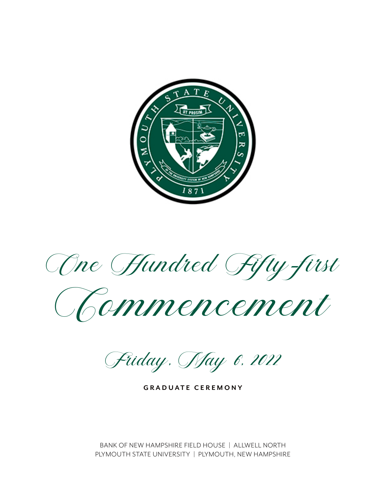

One Hundred Fifty-first

Chammencement

Fiiday, *May 6, 2022* 

**GRADUATE CEREMONY**

BANK OF NEW HAMPSHIRE FIELD HOUSE | ALLWELL NORTH PLYMOUTH STATE UNIVERSITY | PLYMOUTH, NEW HAMPSHIRE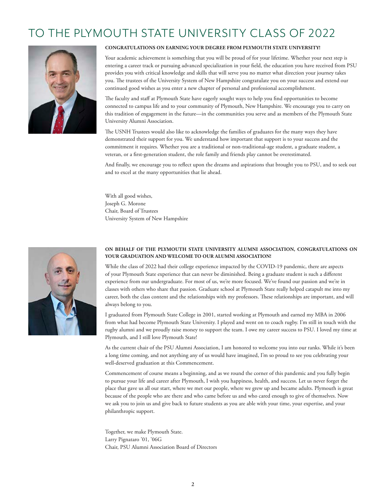# TO THE PLYMOUTH STATE UNIVERSITY CLASS OF 2022



#### **CONGRATULATIONS ON EARNING YOUR DEGREE FROM PLYMOUTH STATE UNIVERSITY!**

Your academic achievement is something that you will be proud of for your lifetime. Whether your next step is entering a career track or pursuing advanced specialization in your field, the education you have received from PSU provides you with critical knowledge and skills that will serve you no matter what direction your journey takes you. The trustees of the University System of New Hampshire congratulate you on your success and extend our continued good wishes as you enter a new chapter of personal and professional accomplishment.

The faculty and staff at Plymouth State have eagerly sought ways to help you find opportunities to become connected to campus life and to your community of Plymouth, New Hampshire. We encourage you to carry on this tradition of engagement in the future—in the communities you serve and as members of the Plymouth State University Alumni Association.

The USNH Trustees would also like to acknowledge the families of graduates for the many ways they have demonstrated their support for you. We understand how important that support is to your success and the commitment it requires. Whether you are a traditional or non-traditional-age student, a graduate student, a veteran, or a first-generation student, the role family and friends play cannot be overestimated.

And finally, we encourage you to reflect upon the dreams and aspirations that brought you to PSU, and to seek out and to excel at the many opportunities that lie ahead.

With all good wishes, Joseph G. Morone Chair, Board of Trustees University System of New Hampshire



#### **ON BEHALF OF THE PLYMOUTH STATE UNIVERSITY ALUMNI ASSOCIATION, CONGRATULATIONS ON YOUR GRADUATION AND WELCOME TO OUR ALUMNI ASSOCIATION!**

While the class of 2022 had their college experience impacted by the COVID-19 pandemic, there are aspects of your Plymouth State experience that can never be diminished. Being a graduate student is such a different experience from our undergraduate. For most of us, we're more focused. We've found our passion and we're in classes with others who share that passion. Graduate school at Plymouth State really helped catapult me into my career, both the class content and the relationships with my professors. These relationships are important, and will always belong to you.

I graduated from Plymouth State College in 2001, started working at Plymouth and earned my MBA in 2006 from what had become Plymouth State University. I played and went on to coach rugby. I'm still in touch with the rugby alumni and we proudly raise money to support the team. I owe my career success to PSU. I loved my time at Plymouth, and I still love Plymouth State!

As the current chair of the PSU Alumni Association, I am honored to welcome you into our ranks. While it's been a long time coming, and not anything any of us would have imagined, I'm so proud to see you celebrating your well-deserved graduation at this Commencement.

Commencement of course means a beginning, and as we round the corner of this pandemic and you fully begin to pursue your life and career after Plymouth, I wish you happiness, health, and success. Let us never forget the place that gave us all our start, where we met our people, where we grew up and became adults. Plymouth is great because of the people who are there and who came before us and who cared enough to give of themselves. Now we ask you to join us and give back to future students as you are able with your time, your expertise, and your philanthropic support.

Together, we make Plymouth State. Larry Pignataro '01, '06G Chair, PSU Alumni Association Board of Directors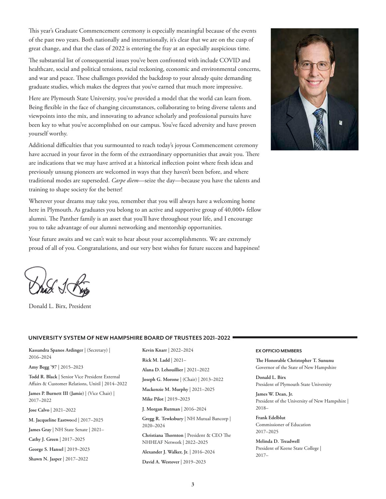This year's Graduate Commencement ceremony is especially meaningful because of the events of the past two years. Both nationally and internationally, it's clear that we are on the cusp of great change, and that the class of 2022 is entering the fray at an especially auspicious time.

The substantial list of consequential issues you've been confronted with include COVID and healthcare, social and political tensions, racial reckoning, economic and environmental concerns, and war and peace. These challenges provided the backdrop to your already quite demanding graduate studies, which makes the degrees that you've earned that much more impressive.

Here are Plymouth State University, you've provided a model that the world can learn from. Being flexible in the face of changing circumstances, collaborating to bring diverse talents and viewpoints into the mix, and innovating to advance scholarly and professional pursuits have been key to what you've accomplished on our campus. You've faced adversity and have proven yourself worthy.

Additional difficulties that you surmounted to reach today's joyous Commencement ceremony have accrued in your favor in the form of the extraordinary opportunities that await you. There are indications that we may have arrived at a historical inflection point where fresh ideas and previously unsung pioneers are welcomed in ways that they haven't been before, and where traditional modes are superseded. *Carpe diem*—seize the day—because you have the talents and training to shape society for the better!

Wherever your dreams may take you, remember that you will always have a welcoming home here in Plymouth. As graduates you belong to an active and supportive group of 40,000+ fellow alumni. The Panther family is an asset that you'll have throughout your life, and I encourage you to take advantage of our alumni networking and mentorship opportunities.

Your future awaits and we can't wait to hear about your accomplishments. We are extremely proud of all of you. Congratulations, and our very best wishes for future success and happiness!

Donald L. Birx, President

#### **UNIVERSITY SYSTEM OF NEW HAMPSHIRE BOARD OF TRUSTEES 2021–2022**

**Kassandra Spanos Ardinger** | (Secretary) | 2016–2024

**Amy Begg '97** | 2015–2023

**Todd R. Black** | Senior Vice President External Affairs & Customer Relations, Unitil | 2014–2022

**James P. Burnett III (Jamie)** | (Vice Chair) | 2017–2022

**Jose Calvo** | 2021–2022

**M. Jacqueline Eastwo**od | 2017–2025

**James Gray** | NH State Senate | 2021–

**Cathy J. Green** | 2017–2025

**George S. Hansel** | 2019–2023

**Shawn N. Jasper** | 2017–2022

**Kevin Knarr** | 2022–2024 **Rick M. Ladd** | 2021– **Alana D. Lehouillier** | 2021–2022 **Joseph G. Morone** | (Chair) | 2013–2022 **Mackenzie M. Murphy** | 2021–2025 **Mike Pilot** | 2019–2023 **J. Morgan Rutman** | 2016–2024 **Gregg R. Tewksbury** | NH Mutual Bancorp | 2020–2024 **Christiana Thornton** | President & CEO The NHHEAF Network | 2022–2025 **Alexander J. Walker, Jr.** | 2016–2024

**David A. Westover** | 2019–2023

#### **EX OFFICIO MEMBERS**

**The Honorable Christopher T. Sununu** Governor of the State of New Hampshire

**Donald L. Birx** President of Plymouth State University

**James W. Dean, Jr.** President of the University of New Hampshire | 2018–

**Frank Edelblut** Commissioner of Education 2017–2025

**Melinda D. Treadwell** President of Keene State College | 2017–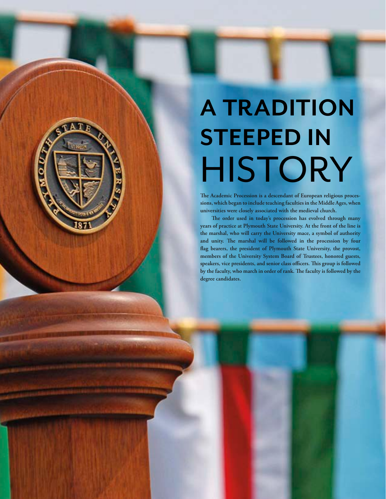# **A TRADITION STEEPED IN** HISTORY

**D** 

**The Academic Procession is a descendant of European religious processions, which began to include teaching faculties in the Middle Ages, when universities were closely associated with the medieval church.**

**The order used in today's procession has evolved through many years of practice at Plymouth State University. At the front of the line is the marshal, who will carry the University mace, a symbol of authority and unity. The marshal will be followed in the procession by four flag bearers, the president of Plymouth State University, the provost, members of the University System Board of Trustees, honored guests, speakers, vice presidents, and senior class officers. This group is followed by the faculty, who march in order of rank. The faculty is followed by the degree candidates.**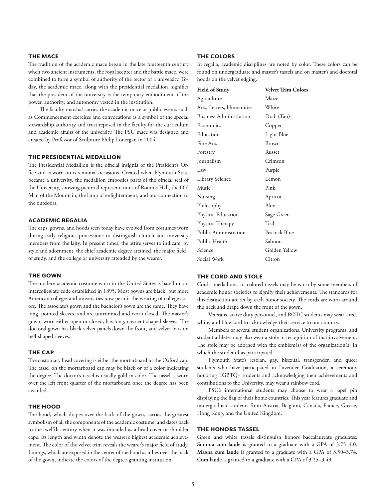#### **the mace**

The tradition of the academic mace began in the late fourteenth century when two ancient instruments, the royal scepter and the battle mace, were combined to form a symbol of authority of the rector of a university. Today, the academic mace, along with the presidential medallion, signifies that the president of the university is the temporary embodiment of the power, authority, and autonomy vested in the institution.

The faculty marshal carries the academic mace at public events such as Commencement exercises and convocations as a symbol of the special stewardship authority and trust reposed in the faculty for the curriculum and academic affairs of the university. The PSU mace was designed and created by Professor of Sculpture Philip Lonergan in 2004.

#### **the presidential medallion**

The Presidential Medallion is the official insignia of the President's Office and is worn on ceremonial occasions. Created when Plymouth State became a university, the medallion embodies parts of the official seal of the University, showing pictorial representations of Rounds Hall, the Old Man of the Mountain, the lamp of enlightenment, and our connection to the outdoors.

#### **academic regalia**

The caps, gowns, and hoods seen today have evolved from costumes worn during early religious processions to distinguish church and university members from the laity. In present times, the attire serves to indicate, by style and adornment, the chief academic degree attained, the major field of study, and the college or university attended by the wearer.

#### **the gown**

The modern academic costume worn in the United States is based on an intercollegiate code established in 1895. Most gowns are black, but more American colleges and universities now permit the wearing of college colors. The associate's gown and the bachelor's gown are the same. They have long, pointed sleeves, and are untrimmed and worn closed. The master's gown, worn either open or closed, has long, crescent-shaped sleeves. The doctoral gown has black velvet panels down the front, and velvet bars on bell-shaped sleeves.

#### **the cap**

The customary head covering is either the mortarboard or the Oxford cap. The tassel on the mortarboard cap may be black or of a color indicating the degree. The doctor's tassel is usually gold in color. The tassel is worn over the left front quarter of the mortarboard once the degree has been awarded.

#### **the hood**

The hood, which drapes over the back of the gown, carries the greatest symbolism of all the components of the academic costume, and dates back to the twelfth century when it was intended as a head cover or shoulder cape. Its length and width denote the wearer's highest academic achievement. The color of the velvet trim reveals the wearer's major field of study. Linings, which are exposed in the center of the hood as it lies over the back of the gown, indicate the colors of the degree-granting institution.

#### **the colors**

In regalia, academic disciplines are noted by color. These colors can be found on undergraduate and master's tassels and on master's and doctoral hoods on the velvet edging.

| Field of Study                 | <b>Velvet Trim Colors</b> |
|--------------------------------|---------------------------|
| Agriculture                    | Maize                     |
| Arts, Letters, Humanities      | White                     |
| <b>Business Administration</b> | Drab (Tan)                |
| Economics                      | Copper                    |
| Education                      | Light Blue                |
| Fine Arts                      | <b>Brown</b>              |
| Forestry                       | Russet                    |
| Journalism                     | Crimson                   |
| Law                            | Purple                    |
| Library Science                | Lemon                     |
| Music                          | Pink                      |
| Nursing                        | Apricot                   |
| Philosophy                     | Blue                      |
| Physical Education             | Sage Green                |
| Physical Therapy               | Teal                      |
| Public Administration          | Peacock Blue              |
| Public Health                  | Salmon                    |
| Science                        | Golden Yellow             |
| Social Work                    | Citron                    |

#### **the cord and stole**

Cords, medallions, or colored tassels may be worn by some members of academic honor societies to signify their achievements. The standards for this distinction are set by each honor society. The cords are worn around the neck and drape down the front of the gown.

Veterans, active duty personnel, and ROTC students may wear a red, white, and blue cord to acknowledge their service to our country.

Members of several student organizations, University programs, and student athletes may also wear a stole in recognition of that involvement. The stole may be adorned with the emblem(s) of the organization(s) in which the student has participated.

Plymouth State's lesbian, gay, bisexual, transgender, and queer students who have participated in Lavender Graduation, a ceremony honoring LGBTQ+ students and acknowledging their achievements and contributions to the University, may wear a rainbow cord.

PSU's international students may choose to wear a lapel pin displaying the flag of their home countries. This year features graduate and undergraduate students from Austria, Belgium, Canada, France, Greece, Hong Kong, and the United Kingdom.

#### **the honors tassel**

Green and white tassels distinguish honors baccalaureate graduates. **Summa cum laude** is granted to a graduate with a GPA of 3.75–4.0. **Magna cum laude** is granted to a graduate with a GPA of 3.50–3.74. **Cum laude** is granted to a graduate with a GPA of 3.25–3.49.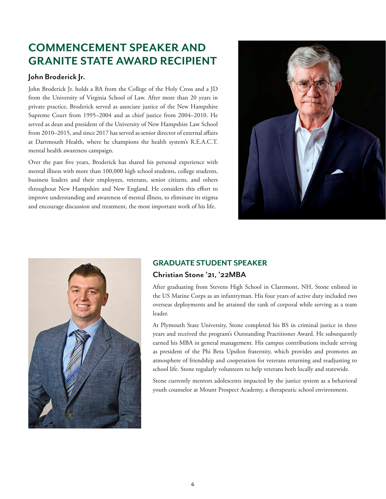## **COMMENCEMENT SPEAKER AND GRANITE STATE AWARD RECIPIENT**

## **John Broderick Jr.**

John Broderick Jr. holds a BA from the College of the Holy Cross and a JD from the University of Virginia School of Law. After more than 20 years in private practice, Broderick served as associate justice of the New Hampshire Supreme Court from 1995–2004 and as chief justice from 2004–2010. He served as dean and president of the University of New Hampshire Law School from 2010–2015, and since 2017 has served as senior director of external affairs at Dartmouth Health, where he champions the health system's R.E.A.C.T. mental health awareness campaign.

Over the past five years, Broderick has shared his personal experience with mental illness with more than 100,000 high school students, college students, business leaders and their employees, veterans, senior citizens, and others throughout New Hampshire and New England. He considers this effort to improve understanding and awareness of mental illness, to eliminate its stigma and encourage discussion and treatment, the most important work of his life.





## **GRADUATE STUDENT SPEAKER**

## **Christian Stone '21, '22MBA**

After graduating from Stevens High School in Claremont, NH, Stone enlisted in the US Marine Corps as an infantryman. His four years of active duty included two overseas deployments and he attained the rank of corporal while serving as a team leader.

At Plymouth State University, Stone completed his BS in criminal justice in three years and received the program's Outstanding Practitioner Award. He subsequently earned his MBA in general management. His campus contributions include serving as president of the Phi Beta Upsilon fraternity, which provides and promotes an atmosphere of friendship and cooperation for veterans returning and readjusting to school life. Stone regularly volunteers to help veterans both locally and statewide.

Stone currently mentors adolescents impacted by the justice system as a behavioral youth counselor at Mount Prospect Academy, a therapeutic school environment.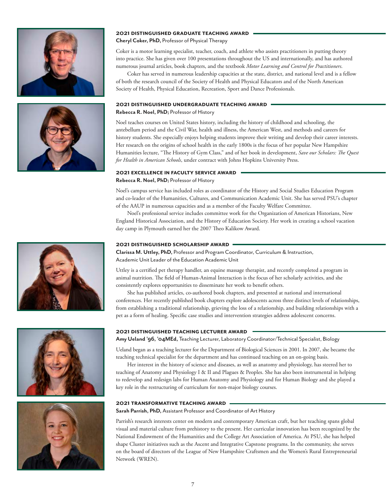



#### **2021 distinguished graduate teaching award**

#### **Cheryl Coker, PhD,** Professor of Physical Therapy

Coker is a motor learning specialist, teacher, coach, and athlete who assists practitioners in putting theory into practice. She has given over 100 presentations throughout the US and internationally, and has authored numerous journal articles, book chapters, and the textbook *Motor Learning and Control for Practitioners*.

Coker has served in numerous leadership capacities at the state, district, and national level and is a fellow of both the research council of the Society of Health and Physical Educators and of the North American Society of Health, Physical Education, Recreation, Sport and Dance Professionals.

#### **2021 distinguished undergraduate teaching award**

**Rebecca R. Noel, PhD;** Professor of History

Noel teaches courses on United States history, including the history of childhood and schooling, the antebellum period and the Civil War, health and illness, the American West, and methods and careers for history students. She especially enjoys helping students improve their writing and develop their career interests. Her research on the origins of school health in the early 1800s is the focus of her popular New Hampshire Humanities lecture, "The History of Gym Class," and of her book in development, *Save our Scholars: The Quest for Health in American Schools*, under contract with Johns Hopkins University Press.

#### **2021 excellence in faculty service award**

#### **Rebecca R. Noel, PhD;** Professor of History

Noel's campus service has included roles as coordinator of the History and Social Studies Education Program and co-leader of the Humanities, Cultures, and Communication Academic Unit. She has served PSU's chapter of the AAUP in numerous capacities and as a member of the Faculty Welfare Committee.

Noel's professional service includes committee work for the Organization of American Historians, New England Historical Association, and the History of Education Society. Her work in creating a school vacation day camp in Plymouth earned her the 2007 Theo Kalikow Award.

#### **2021 distinguished scholarship award**

**Clarissa M. Uttley, PhD,** Professor and Program Coordinator, Curriculum & Instruction, Academic Unit Leader of the Education Academic Unit

Uttley is a certified pet therapy handler, an equine massage therapist, and recently completed a program in animal nutrition. The field of Human-Animal Interaction is the focus of her scholarly activities, and she consistently explores opportunities to disseminate her work to benefit others.

She has published articles, co-authored book chapters, and presented at national and international conferences. Her recently published book chapters explore adolescents across three distinct levels of relationships, from establishing a traditional relationship, grieving the loss of a relationship, and building relationships with a pet as a form of healing. Specific case studies and intervention strategies address adolescent concerns.

#### **2021 distinguished teaching lecturer award**

**Amy Ueland '96, '04MEd,** Teaching Lecturer, Laboratory Coordinator/Technical Specialist, Biology

Ueland began as a teaching lecturer for the Department of Biological Sciences in 2001. In 2007, she became the teaching technical specialist for the department and has continued teaching on an on-going basis.

Her interest in the history of science and diseases, as well as anatomy and physiology, has steered her to teaching of Anatomy and Physiology I & II and Plagues & Peoples. She has also been instrumental in helping to redevelop and redesign labs for Human Anatomy and Physiology and for Human Biology and she played a key role in the restructuring of curriculum for non-major biology courses.

#### **2021 transformative teaching award**

#### **Sarah Parrish, PhD,** Assistant Professor and Coordinator of Art History

Parrish's research interests center on modern and contemporary American craft, but her teaching spans global visual and material culture from prehistory to the present. Her curricular innovation has been recognized by the National Endowment of the Humanities and the College Art Association of America. At PSU, she has helped shape Cluster initiatives such as the Ascent and Integrative Capstone programs. In the community, she serves on the board of directors of the League of New Hampshire Craftsmen and the Women's Rural Entrepreneurial Network (WREN).





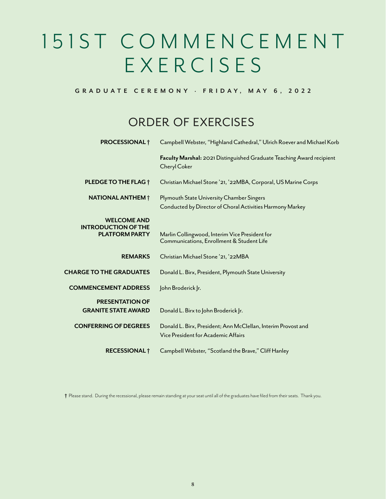# 1 5 1 S T C O M M E N C E M E N T EXERCISES

## **GRADUATE CEREMONY · F R I D AY, M AY 6 , 2 0 2 2**

## order of exercises

| Campbell Webster, "Highland Cathedral," Ulrich Roever and Michael Korb                                 |
|--------------------------------------------------------------------------------------------------------|
| Faculty Marshal: 2021 Distinguished Graduate Teaching Award recipient<br><b>Cheryl Coker</b>           |
| Christian Michael Stone '21, '22MBA, Corporal, US Marine Corps                                         |
| Plymouth State University Chamber Singers<br>Conducted by Director of Choral Activities Harmony Markey |
| Marlin Collingwood, Interim Vice President for<br>Communications, Enrollment & Student Life            |
| Christian Michael Stone '21, '22MBA                                                                    |
| Donald L. Birx, President, Plymouth State University                                                   |
| John Broderick  r.                                                                                     |
| Donald L. Birx to John Broderick Jr.                                                                   |
| Donald L. Birx, President; Ann McClellan, Interim Provost and<br>Vice President for Academic Affairs   |
| Campbell Webster, "Scotland the Brave," Cliff Hanley                                                   |
|                                                                                                        |

**†** Please stand. During the recessional, please remain standing at your seat until all of the graduates have filed from their seats. Thank you.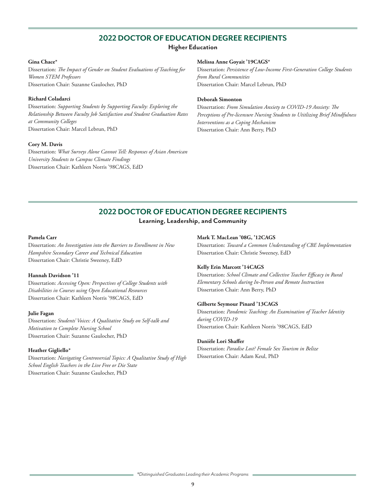## **2022 DOCTOR OF EDUCATION DEGREE RECIPIENTS**

#### **Higher Education**

#### **Gina Chace\***

Dissertation: *The Impact of Gender on Student Evaluations of Teaching for Women STEM Professors*  Dissertation Chair: Suzanne Gaulocher, PhD

#### **Richard Coladarci**

Dissertation: *Supporting Students by Supporting Faculty: Exploring the Relationship Between Faculty Job Satisfaction and Student Graduation Rates at Community Colleges*  Dissertation Chair: Marcel Lebrun, PhD

#### **Cory M. Davis**

Dissertation: *What Surveys Alone Cannot Tell: Responses of Asian American University Students to Campus Climate Findings* Dissertation Chair: Kathleen Norris '98CAGS, EdD

#### **Melissa Anne Goyait '19CAGS\***

Dissertation: *Persistence of Low-Income First-Generation College Students from Rural Communities* Dissertation Chair: Marcel Lebrun, PhD

#### **Deborah Simonton**

Dissertation: *From Simulation Anxiety to COVID-19 Anxiety: The Perceptions of Pre-licensure Nursing Students to Utitlizing Brief Mindfulness Interventions as a Coping Mechanism*  Dissertation Chair: Ann Berry, PhD

## **2022 DOCTOR OF EDUCATION DEGREE RECIPIENTS**

## **Learning, Leadership, and Community**

#### **Pamela Carr**

Dissertation: *An Investigation into the Barriers to Enrollment in New Hampshire Secondary Career and Technical Education* Dissertation Chair: Christie Sweeney, EdD

#### **Hannah Davidson '11**

Dissertation: *Accessing Open: Perspectives of College Students with Disabilities in Courses using Open Educational Resources* Dissertation Chair: Kathleen Norris '98CAGS, EdD

#### **Julie Fagan**

Dissertation: *Students' Voices: A Qualitative Study on Self-talk and Motivation to Complete Nursing School* Dissertation Chair: Suzanne Gaulocher, PhD

#### **Heather Gigliello\***

Dissertation: *Navigating Controversial Topics: A Qualitative Study of High School English Teachers in the Live Free or Die State* Dissertation Chair: Suzanne Gaulocher, PhD

#### **Mark T. MacLean '08G, '12CAGS**

Dissertation: *Toward a Common Understanding of CBE Implementation* Dissertation Chair: Christie Sweeney, EdD

#### **Kelly Erin Marcott '14CAGS**

Dissertation: *School Climate and Collective Teacher Efficacy in Rural Elementary Schools during In-Person and Remote Instruction*  Dissertation Chair: Ann Berry, PhD

#### **Gilberte Seymour Pinard '13CAGS**

Dissertation: *Pandemic Teaching: An Examination of Teacher Identity during COVID-19*  Dissertation Chair: Kathleen Norris '98CAGS, EdD

#### **Danièle Lori Shaffer**

Dissertation: *Paradise Lost? Female Sex Tourism in Belize* Dissertation Chair: Adam Keul, PhD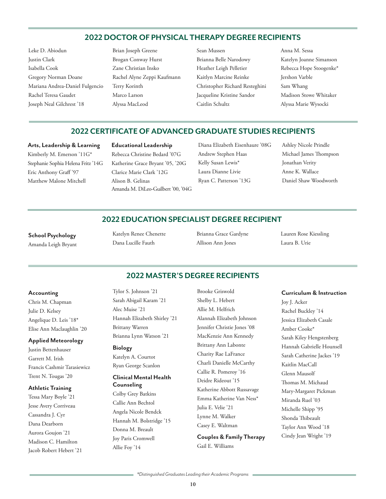## **2022 DOCTOR OF PHYSICAL THERAPY DEGREE RECIPIENTS**

- Leke D. Abiodun Justin Clark Isabella Cook Gregory Norman Doane Mariana Andrea-Daniel Fulgencio Rachel Teresa Gaudet Joseph Neal Gilchrest '18
- Brian Joseph Greene Brogan Conway Hurst Zane Christian Insko Rachel Alyne Zeppi Kaufmann Terry Korinth Marco Larson Alyssa MacLeod
- Sean Mussen Brianna Belle Narodowy Heather Leigh Pelletier Kaitlyn Marcine Reinke Christopher Richard Resteghini Jacqueline Kristine Sandor Caitlin Schultz
- Anna M. Sessa Katelyn Joanne Simanson Rebecca Hope Stoogenke\* Jershon Varble Sam Whang Madison Stowe Whitaker Alyssa Marie Wysocki

## **2022 CERTIFICATE OF ADVANCED GRADUATE STUDIES RECIPIENTS**

#### **Arts, Leadership & Learning**

Kimberly M. Emerson '11G\* Stephanie Sophia Helena Fritz '14G Eric Anthony Graff '97 Matthew Malone Mitchell

## **Educational Leadership**

Rebecca Christine Bedard '07G Katherine Grace Bryant '05, '20G Clarice Marie Clark '12G Alison B. Gelinas Amanda M. DiLeo-Guilbert '00, '04G Diana Elizabeth Eisenhaure '08G Andrew Stephen Haas Kelly Susan Lewis\* Laura Dianne Livie Ryan C. Patterson '13G

Ashley Nicole Prindle Michael James Thompson Jonathan Verity Anne K. Wallace Daniel Shaw Woodworth

## **2022 EDUCATION SPECIALIST DEGREE RECIPIENT**

**School Psychology**

Amanda Leigh Bryant

Katelyn Renee Chenette Dana Lucille Fauth

Brianna Grace Gardyne Allison Ann Jones

Lauren Rose Kiessling Laura B. Urie

## **2022 MASTER'S DEGREE RECIPIENTS**

#### **Accounting**

Chris M. Chapman Julie D. Kelsey Angelique D. Leis '18\* Elise Ann Maclaughlin '20

#### **Applied Meteorology**

Justin Bettenhauser Garrett M. Irish Francis Cashmir Tarasiewicz Trent N. Tougas '20

#### **Athletic Training**

Tessa Mary Boyle '21 Jesse Avery Corriveau Cassandra J. Cyr Dana Dearborn Aurora Goujon '21 Madison C. Hamilton Jacob Robert Hebert '21 Tylor S. Johnson '21 Sarah Abigail Karam '21 Alec Muise '21 Hannah Elizabeth Shirley '21 Brittany Warren Brianna Lynn Watson '21

#### **Biology**

Katelyn A. Courtot Ryan George Scanlon

## **Clinical Mental Health Counseling**

Colby Grey Batkins Callie Ann Bechtol Angela Nicole Bendck Hannah M. Bolstridge '15 Donna M. Breault Joy Paris Cromwell Allie Foy '14

Brooke Griswold Shelby L. Hebert Allie M. Helfrich Alannah Elizabeth Johnson Jennifer Christie Jones '08 MacKenzie Ann Kennedy Brittany Ann Labonte Charity Rae LaFrance Charli Danielle McCarthy Callie R. Pomeroy '16 Deidre Rideout '15 Katherine Abbott Russavage Emma Katherine Van Ness\* Julia E. Velie '21 Lynne M. Walker Casey E. Waltman

**Couples & Family Therapy** Gail E. Williams

#### **Curriculum & Instruction**

Joy J. Acker Rachel Buckley '14 Jessica Elizabeth Casale Amber Cooke\* Sarah Kiley Hengstenberg Hannah Gabrielle Hounsell Sarah Catherine Jackes '19 Kaitlin MacCall Glenn Mausolf Thomas M. Michaud Mary-Margaret Pickman Miranda Ruel '03 Michelle Shipp '95 Shonda Thibeault Taylor Ann Wood '18 Cindy Jean Wright '19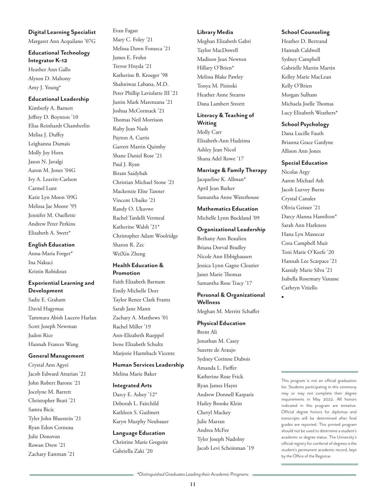#### **Digital Learning Specialist**

Margaret Ann Acquilano '07G

**Educational Technology Integrator K–12** Heather Ann Gallo

Alyson D. Mahony Amy J. Young\*

#### **Educational Leadership**

Kimberly A. Barnett Jeffrey D. Boynton '10 Elias Reinhardt Chamberlin Melisa J. Duffey Leighanna Dumais Molly Joy Horn Jason N. Javalgi Aaron M. Jones '04G Ivy A. Leavitt-Carlson Carmel Lunt Katie Lyn Moon '09G Melissa Jae Moore '95 Jennifer M. Ouellette Andrew Peter Perkins Elizabeth A. Swett\*

#### **English Education**

Anna-Maria Forger\* Ina Nakuci Kristin Robidoux

#### **Experiential Learning and Development**

Sadie E. Graham David Hagymas Tammara Abish Lucero Harlan Scott Joseph Newman Judon Rice Hannah Frances Wang

#### **General Management**

Crystal Ann Agyei Jacob Edward Attarian '21 John Robert Barone '21 Jocelyne M. Barrett Christopher Beati '21 Samra Bicic Tyler John Bluestein '21 Ryan Edon Corneau Julie Donovan Rowan Drew '21 Zachary Eastman '21

Evan Fagan Mary C. Foley '21 Melissa Dawn Fonseca '21 James E. Frohn Trevor Hnyda '21 Katherine B. Kroeger '98 Shahniwaz Labana, M.D. Peter Phillip Laviolatte III '21 Justin Mark Marenzana '21 Joshua McCormack '21 Thomas Neil Morrison Ruby Jean Nash Payton A. Curtis Garrett Martin Quimby Shane Daniel Rose '21 Paul J. Ryan Biram Saidybah Christian Michael Stone '21 Mackenzie Elise Tanner Vincent Ubaike '21 Randy O. Ukavwe Rachel Tardelli Vermeal Katherine Walsh '21\* Christopher Adam Woolridge Sharon R. Zec WeiXin Zheng

## **Health Education & Promotion**

Faith Elizabeth Barnum Emily Michelle Dorr Taylor Renee Clark Frantz Sarah Jane Mann Zachary A. Matthews '01 Rachel Miller '19 Ann-Elizabeth Rueppel Irene Elizabeth Schultz Marjorie Harmbach Vicente

## **Human Services Leadership**

Melina Marie Baker

#### **Integrated Arts**

Darcy E. Ashey '12\* Deborah L. Fairchild Kathleen S. Guilmett Karyn Murphy Neubauer

## **Language Education** Christine Marie Gregoire

Gabriella Zaki '20

#### **Library Media**

Meghan Elizabeth Gabri Taylor MacDowell Madison Jean Newton Hillary O'Brien\* Melissa Blake Pawley Tonya M. Pisinski Heather Anne Stearns Dana Lambert Streett

## **Literacy & Teaching of Writing**

Molly Carr Elizabeth-Ann Hadzima Ashley Jean Nicol Shana Adel Rowe '17

#### **Marriage & Family Therapy**

Jacqueline K. Allman\* April Jean Barker Samantha Anne Waterhouse

## **Mathematics Education**

Michelle Lynn Buckland '09

## **Organizational Leadership**

Bethany Ann Beaulieu Briana Dorval Bradley Nicole Ann Ebbighausen Jessica Lynn Gagne Cloutier Janet Marie Thomas Samantha Rose Tracy '17

## **Personal & Organizational Wellness**

Meghan M. Merritt Schaffer

## **Physical Education**

Brent Ali Jonathan M. Casey Suzette de Araujo Sydney Corinne Dubois Amanda L. Fieffer Katherine Rose Frick Ryan James Hayes Andrew Donnell Karparis Hailey Brooke Klein Cheryl Mackey Julie Marran Andrea McFee Tyler Joseph Nadolny Jacob Levi Scheinman '19

#### **School Counseling**

Heather D. Bertrand Hannah Caldwell Sydney Campbell Gabrielle Martin Martin Kelley Marie MacLean Kelly O'Brien Morgan Sulham Michaela Joelle Thomas Lucy Elizabeth Weathers\*

#### **School Psychology**

Dana Lucille Fauth Brianna Grace Gardyne Allison Ann Jones

#### **Special Education**

Nicolas Argy Aaron Michael Ash Jacob Lurvey Burns Crystal Canales Olivia Geisser '21 Darcy Alanna Hamilton\* Sarah Ann Harkness Hana Lyn Massecar Cora Campbell Muir Toni Marie O'Keefe '20 Hannah Lee Scarpace '21 Kassidy Marie Silva '21 Isabella Rosemary Vanasse Cathryn Vitiello

■

This program is not an official graduation list. Students participating in this ceremony may or may not complete their degree requirements in May 2022. All honors indicated in this program are tentative. Official degree honors for diplomas and transcripts will be determined after final grades are reported. This printed program should not be used to determine a student's academic or degree status. The University's official registry for conferral of degrees is the student's permanent academic record, kept by the Office of the Registrar.